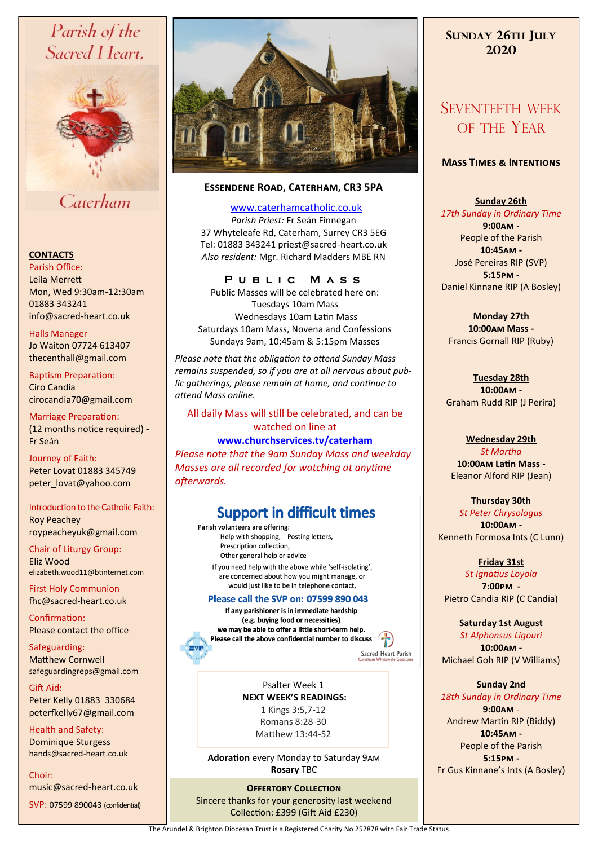# Parish of the Sacred Heart,



# Caterham

### **CONTACTS**

Parish Office: Leila Merrett Mon, Wed 9:30am-12:30am 01883 343241 info@sacred-heart.co.uk .

Halls Manager Jo Waiton 07724 613407 thecenthall@gmail.com

Baptism Preparation: Ciro Candia cirocandia70@gmail.com

Marriage Preparation: (12 months notice required) **-** Fr Seán

Journey of Faith: Peter Lovat 01883 345749 peter\_lovat@yahoo.com

## Introduction to the Catholic Faith:

Roy Peachey roypeacheyuk@gmail.com

Chair of Liturgy Group: Eliz Wood elizabeth.wood11@btinternet.com

First Holy Communion fhc@sacred-heart.co.uk

Confirmation: Please contact the office

Safeguarding: Matthew Cornwell safeguardingreps@gmail.com

Gift Aid: Peter Kelly 01883 330684 peterfkelly67@gmail.com

Health and Safety: Dominique Sturgess hands@sacred-heart.co.uk

Choir:

music@sacred-heart.co.uk

SVP: 07599 890043 (confidential)



### **Essendene Road, Caterham, CR3 5PA**

[www.caterhamcatholic.co.uk](http://Www.caterhamcatholic.co.uk)

*Parish Priest:* Fr Seán Finnegan 37 Whyteleafe Rd, Caterham, Surrey CR3 5EG Tel: 01883 343241 priest@sacred-heart.co.uk *Also resident:* Mgr. Richard Madders MBE RN

### **P u b l i c M a s s**

Public Masses will be celebrated here on: Tuesdays 10am Mass Wednesdays 10am Latin Mass Saturdays 10am Mass, Novena and Confessions Sundays 9am, 10:45am & 5:15pm Masses

*Please note that the obligation to attend Sunday Mass remains suspended, so if you are at all nervous about public gatherings, please remain at home, and continue to attend Mass online.*

### All daily Mass will still be celebrated, and can be watched on line at

### **[www.churchservices.tv/caterham](http://www.churchservices.tv/caterham)**

*Please note that the 9am Sunday Mass and weekday Masses are all recorded for watching at anytime afterwards.*

# **Support in difficult times**

Parish volunteers are offering: Help with shopping, Posting letters, Prescription collection, Other general help or advice If you need help with the above while 'self-isolating', are concerned about how you might manage, or would just like to be in telephone contact,

### Please call the SVP on: 07599 890 043

If any parishioner is in immediate hardship (e.g. buying food or necessities) we may be able to offer a little short-term help. Please call the above confidential number to discuss  $\sqrt{2\pi}$ 

Sacred Heart Parish

Psalter Week 1 **NEXT WEEK'S READINGS:**  1 Kings 3:5,7-12 Romans 8:28-30 Matthew 13:44-52

**Adoration** every Monday to Saturday 9am **Rosary** TBC

**OFFERTORY COLLECTION** Sincere thanks for your generosity last weekend Collection: £399 (Gift Aid £230)

## **SUNDAY 26TH JULY 2020**

# SEVENTEETH WEEK OF THE YEAR

### **Mass Times & Intentions**

**Sunday 26th** 

*17th Sunday in Ordinary Time* **9:00am** - People of the Parish **10:45am -** José Pereiras RIP (SVP) **5:15pm -** Daniel Kinnane RIP (A Bosley)

**Monday 27th 10:00am Mass -** Francis Gornall RIP (Ruby)

**Tuesday 28th 10:00am** - Graham Rudd RIP (J Perira)

### **Wednesday 29th**

*St Martha* **10:00am Latin Mass -** Eleanor Alford RIP (Jean)

**Thursday 30th** 

*St Peter Chrysologus* **10:00am** - Kenneth Formosa Ints (C Lunn)

### **Friday 31st**

*St Ignatius Loyola* **7:00pm -** Pietro Candia RIP (C Candia)

# **Saturday 1st August**

*St Alphonsus Ligouri* **10:00am -**  Michael Goh RIP (V Williams)

### **Sunday 2nd**

*18th Sunday in Ordinary Time* **9:00am** - Andrew Martin RIP (Biddy) **10:45am -** People of the Parish **5:15pm -** Fr Gus Kinnane's Ints (A Bosley)

The Arundel & Brighton Diocesan Trust is a Registered Charity No 252878 with Fair Trade Status